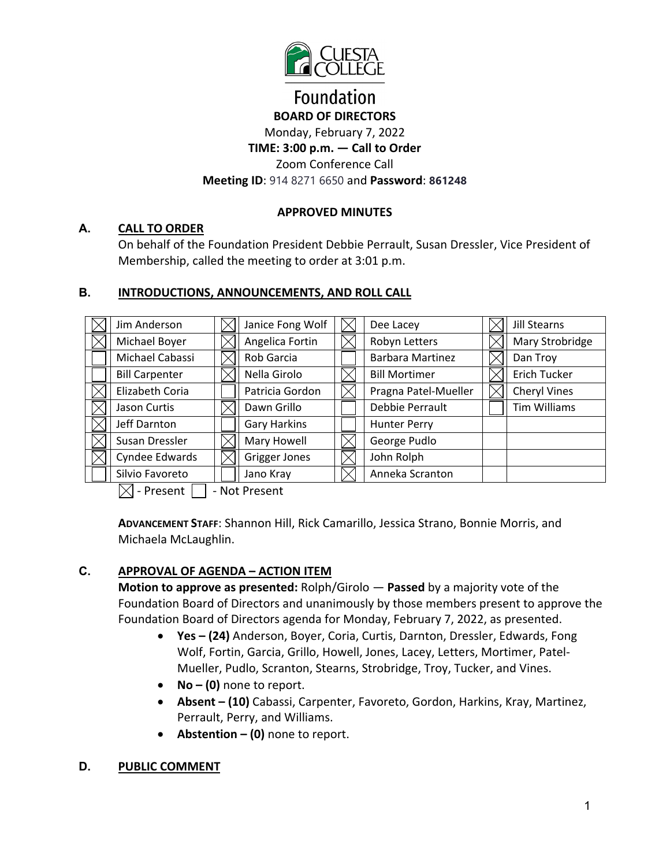

## **Foundation BOARD OF DIRECTORS** Monday, February 7, 2022 **TIME: 3:00 p.m. — Call to Order**  Zoom Conference Call

### **Meeting ID**: 914 8271 6650 and **Password**: **861248**

#### **APPROVED MINUTES**

#### **A. CALL TO ORDER**

On behalf of the Foundation President Debbie Perrault, Susan Dressler, Vice President of Membership, called the meeting to order at 3:01 p.m.

#### **B. INTRODUCTIONS, ANNOUNCEMENTS, AND ROLL CALL**

| Jim Anderson          | Janice Fong Wolf    | Dee Lacey               | <b>Jill Stearns</b> |
|-----------------------|---------------------|-------------------------|---------------------|
| Michael Boyer         | Angelica Fortin     | Robyn Letters           | Mary Strobridge     |
| Michael Cabassi       | Rob Garcia          | <b>Barbara Martinez</b> | Dan Troy            |
| <b>Bill Carpenter</b> | Nella Girolo        | <b>Bill Mortimer</b>    | Erich Tucker        |
| Elizabeth Coria       | Patricia Gordon     | Pragna Patel-Mueller    | <b>Cheryl Vines</b> |
| Jason Curtis          | Dawn Grillo         | Debbie Perrault         | <b>Tim Williams</b> |
| Jeff Darnton          | <b>Gary Harkins</b> | <b>Hunter Perry</b>     |                     |
| Susan Dressler        | Mary Howell         | George Pudlo            |                     |
| Cyndee Edwards        | Grigger Jones       | John Rolph              |                     |
| Silvio Favoreto       | Jano Kray           | Anneka Scranton         |                     |

 $\boxtimes$  - Present  $\Box$  - Not Present

**ADVANCEMENT STAFF**: Shannon Hill, Rick Camarillo, Jessica Strano, Bonnie Morris, and Michaela McLaughlin.

#### **C. APPROVAL OF AGENDA – ACTION ITEM**

**Motion to approve as presented:** Rolph/Girolo — **Passed** by a majority vote of the Foundation Board of Directors and unanimously by those members present to approve the Foundation Board of Directors agenda for Monday, February 7, 2022, as presented.

- **Yes (24)** Anderson, Boyer, Coria, Curtis, Darnton, Dressler, Edwards, Fong Wolf, Fortin, Garcia, Grillo, Howell, Jones, Lacey, Letters, Mortimer, Patel-Mueller, Pudlo, Scranton, Stearns, Strobridge, Troy, Tucker, and Vines.
- **No (0)** none to report.
- **Absent (10)** Cabassi, Carpenter, Favoreto, Gordon, Harkins, Kray, Martinez, Perrault, Perry, and Williams.
- **Abstention (0)** none to report.

#### **D. PUBLIC COMMENT**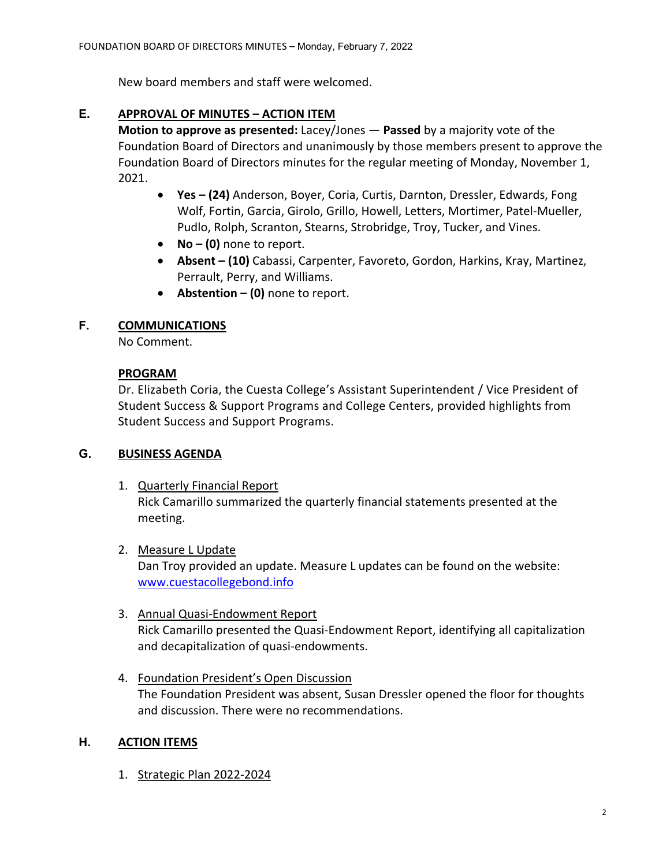New board members and staff were welcomed.

#### **E. APPROVAL OF MINUTES – ACTION ITEM**

**Motion to approve as presented:** Lacey/Jones — **Passed** by a majority vote of the Foundation Board of Directors and unanimously by those members present to approve the Foundation Board of Directors minutes for the regular meeting of Monday, November 1, 2021.

- **Yes (24)** Anderson, Boyer, Coria, Curtis, Darnton, Dressler, Edwards, Fong Wolf, Fortin, Garcia, Girolo, Grillo, Howell, Letters, Mortimer, Patel-Mueller, Pudlo, Rolph, Scranton, Stearns, Strobridge, Troy, Tucker, and Vines.
- **No (0)** none to report.
- **Absent (10)** Cabassi, Carpenter, Favoreto, Gordon, Harkins, Kray, Martinez, Perrault, Perry, and Williams.
- **Abstention (0)** none to report.

#### **F. COMMUNICATIONS**

No Comment.

#### **PROGRAM**

Dr. Elizabeth Coria, the Cuesta College's Assistant Superintendent / Vice President of Student Success & Support Programs and College Centers, provided highlights from Student Success and Support Programs.

#### **G. BUSINESS AGENDA**

1. Quarterly Financial Report Rick Camarillo summarized the quarterly financial statements presented at the meeting.

#### 2. Measure L Update

Dan Troy provided an update. Measure L updates can be found on the website: [www.cuestacollegebond.info](http://www.cuestacollegebond.info/) 

- 3. Annual Quasi-Endowment Report Rick Camarillo presented the Quasi-Endowment Report, identifying all capitalization and decapitalization of quasi-endowments.
- 4. Foundation President's Open Discussion The Foundation President was absent, Susan Dressler opened the floor for thoughts and discussion. There were no recommendations.

#### **H. ACTION ITEMS**

1. Strategic Plan 2022-2024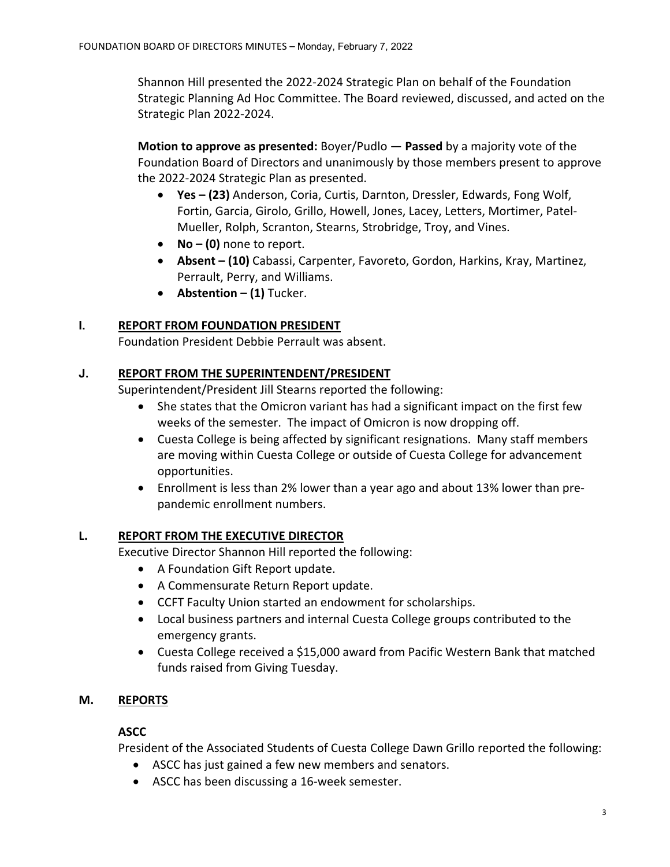Shannon Hill presented the 2022-2024 Strategic Plan on behalf of the Foundation Strategic Planning Ad Hoc Committee. The Board reviewed, discussed, and acted on the Strategic Plan 2022-2024.

**Motion to approve as presented:** Boyer/Pudlo — **Passed** by a majority vote of the Foundation Board of Directors and unanimously by those members present to approve the 2022-2024 Strategic Plan as presented.

- **Yes (23)** Anderson, Coria, Curtis, Darnton, Dressler, Edwards, Fong Wolf, Fortin, Garcia, Girolo, Grillo, Howell, Jones, Lacey, Letters, Mortimer, Patel-Mueller, Rolph, Scranton, Stearns, Strobridge, Troy, and Vines.
- **No (0)** none to report.
- **Absent (10)** Cabassi, Carpenter, Favoreto, Gordon, Harkins, Kray, Martinez, Perrault, Perry, and Williams.
- **Abstention (1)** Tucker.

## **I. REPORT FROM FOUNDATION PRESIDENT**

Foundation President Debbie Perrault was absent.

#### **J. REPORT FROM THE SUPERINTENDENT/PRESIDENT**

Superintendent/President Jill Stearns reported the following:

- She states that the Omicron variant has had a significant impact on the first few weeks of the semester. The impact of Omicron is now dropping off.
- Cuesta College is being affected by significant resignations. Many staff members are moving within Cuesta College or outside of Cuesta College for advancement opportunities.
- Enrollment is less than 2% lower than a year ago and about 13% lower than prepandemic enrollment numbers.

#### **L. REPORT FROM THE EXECUTIVE DIRECTOR**

Executive Director Shannon Hill reported the following:

- A Foundation Gift Report update.
- A Commensurate Return Report update.
- CCFT Faculty Union started an endowment for scholarships.
- Local business partners and internal Cuesta College groups contributed to the emergency grants.
- Cuesta College received a \$15,000 award from Pacific Western Bank that matched funds raised from Giving Tuesday.

## **M. REPORTS**

#### **ASCC**

President of the Associated Students of Cuesta College Dawn Grillo reported the following:

- ASCC has just gained a few new members and senators.
- ASCC has been discussing a 16-week semester.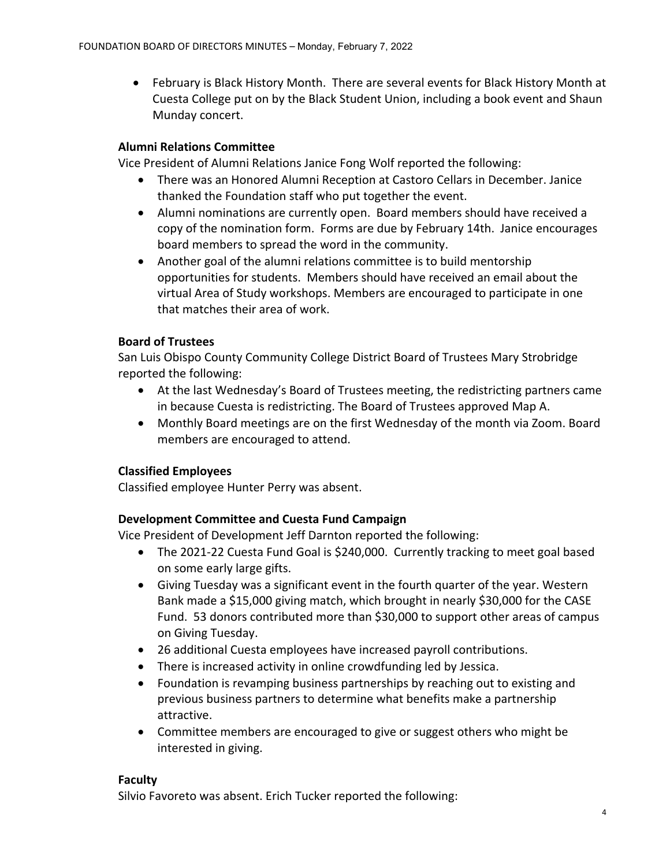• February is Black History Month. There are several events for Black History Month at Cuesta College put on by the Black Student Union, including a book event and Shaun Munday concert.

## **Alumni Relations Committee**

Vice President of Alumni Relations Janice Fong Wolf reported the following:

- There was an Honored Alumni Reception at Castoro Cellars in December. Janice thanked the Foundation staff who put together the event.
- Alumni nominations are currently open. Board members should have received a copy of the nomination form. Forms are due by February 14th. Janice encourages board members to spread the word in the community.
- Another goal of the alumni relations committee is to build mentorship opportunities for students. Members should have received an email about the virtual Area of Study workshops. Members are encouraged to participate in one that matches their area of work.

## **Board of Trustees**

San Luis Obispo County Community College District Board of Trustees Mary Strobridge reported the following:

- At the last Wednesday's Board of Trustees meeting, the redistricting partners came in because Cuesta is redistricting. The Board of Trustees approved Map A.
- Monthly Board meetings are on the first Wednesday of the month via Zoom. Board members are encouraged to attend.

## **Classified Employees**

Classified employee Hunter Perry was absent.

## **Development Committee and Cuesta Fund Campaign**

Vice President of Development Jeff Darnton reported the following:

- The 2021-22 Cuesta Fund Goal is \$240,000. Currently tracking to meet goal based on some early large gifts.
- Giving Tuesday was a significant event in the fourth quarter of the year. Western Bank made a \$15,000 giving match, which brought in nearly \$30,000 for the CASE Fund. 53 donors contributed more than \$30,000 to support other areas of campus on Giving Tuesday.
- 26 additional Cuesta employees have increased payroll contributions.
- There is increased activity in online crowdfunding led by Jessica.
- Foundation is revamping business partnerships by reaching out to existing and previous business partners to determine what benefits make a partnership attractive.
- Committee members are encouraged to give or suggest others who might be interested in giving.

#### **Faculty**

Silvio Favoreto was absent. Erich Tucker reported the following: